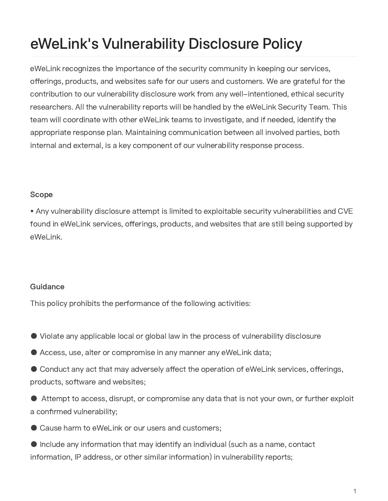## eWeLink's Vulnerability Disclosure Policy

eWeLink recognizes the importance of the security community in keeping our services, offerings, products, and websites safe for our users and customers. We are grateful for the contribution to our vulnerability disclosure work from any well-intentioned, ethical security researchers. All the vulnerability reports will be handled by the eWeLink Security Team. This team will coordinate with other eWeLink teams to investigate, and if needed, identify the appropriate response plan. Maintaining communication between all involved parties, both internal and external, is a key component of our vulnerability response process.

## Scope

• Any vulnerability disclosure attempt is limited to exploitable security vulnerabilities and CVE found in eWeLink services, offerings, products, and websites that are still being supported by eWeLink.

## Guidance

This policy prohibits the performance of the following activities:

- Violate any applicable local or global law in the process of vulnerability disclosure
- Access, use, alter or compromise in any manner any eWeLink data;
- Conduct any act that may adversely affect the operation of eWeLink services, offerings, products, software and websites;
- Attempt to access, disrupt, or compromise any data that is not your own, or further exploit a confirmed vulnerability;
- Cause harm to eWeLink or our users and customers;
- $\bullet$  Include any information that may identify an individual (such as a name, contact information, IP address, or other similar information) in vulnerability reports;